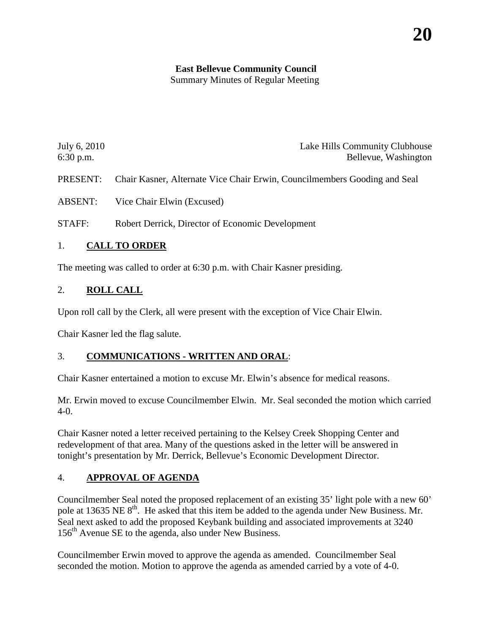# **East Bellevue Community Council**

Summary Minutes of Regular Meeting

| July 6, 2010 | Lake Hills Community Clubhouse |
|--------------|--------------------------------|
| $6:30$ p.m.  | Bellevue, Washington           |

PRESENT: Chair Kasner, Alternate Vice Chair Erwin, Councilmembers Gooding and Seal

ABSENT: Vice Chair Elwin (Excused)

STAFF: Robert Derrick, Director of Economic Development

### 1. **CALL TO ORDER**

The meeting was called to order at 6:30 p.m. with Chair Kasner presiding.

### 2. **ROLL CALL**

Upon roll call by the Clerk, all were present with the exception of Vice Chair Elwin.

Chair Kasner led the flag salute.

### 3. **COMMUNICATIONS - WRITTEN AND ORAL**:

Chair Kasner entertained a motion to excuse Mr. Elwin's absence for medical reasons.

Mr. Erwin moved to excuse Councilmember Elwin. Mr. Seal seconded the motion which carried  $4 - 0$ .

Chair Kasner noted a letter received pertaining to the Kelsey Creek Shopping Center and redevelopment of that area. Many of the questions asked in the letter will be answered in tonight's presentation by Mr. Derrick, Bellevue's Economic Development Director.

## 4. **APPROVAL OF AGENDA**

Councilmember Seal noted the proposed replacement of an existing 35' light pole with a new 60' pole at 13635 NE 8<sup>th</sup>. He asked that this item be added to the agenda under New Business. Mr. Seal next asked to add the proposed Keybank building and associated improvements at 3240 156<sup>th</sup> Avenue SE to the agenda, also under New Business.

Councilmember Erwin moved to approve the agenda as amended. Councilmember Seal seconded the motion. Motion to approve the agenda as amended carried by a vote of 4-0.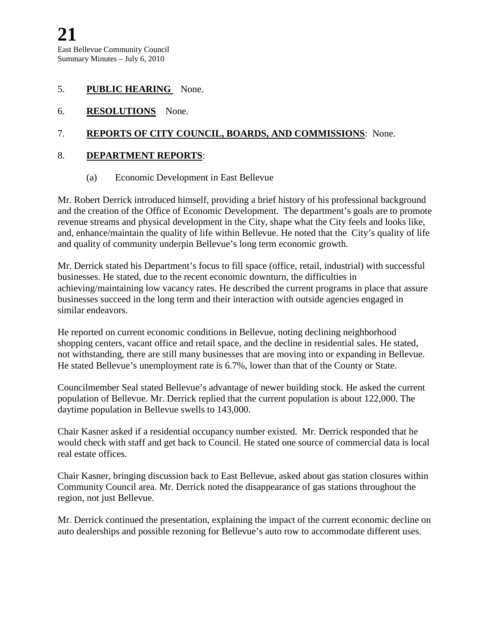#### 5. **PUBLIC HEARING** None.

6. **RESOLUTIONS** None.

### 7. **REPORTS OF CITY COUNCIL, BOARDS, AND COMMISSIONS**: None.

### 8. **DEPARTMENT REPORTS**:

#### (a) Economic Development in East Bellevue

Mr. Robert Derrick introduced himself, providing a brief history of his professional background and the creation of the Office of Economic Development. The department's goals are to promote revenue streams and physical development in the City, shape what the City feels and looks like, and, enhance/maintain the quality of life within Bellevue. He noted that the City's quality of life and quality of community underpin Bellevue's long term economic growth.

Mr. Derrick stated his Department's focus to fill space (office, retail, industrial) with successful businesses. He stated, due to the recent economic downturn, the difficulties in achieving/maintaining low vacancy rates. He described the current programs in place that assure businesses succeed in the long term and their interaction with outside agencies engaged in similar endeavors.

He reported on current economic conditions in Bellevue, noting declining neighborhood shopping centers, vacant office and retail space, and the decline in residential sales. He stated, not withstanding, there are still many businesses that are moving into or expanding in Bellevue. He stated Bellevue's unemployment rate is 6.7%, lower than that of the County or State.

Councilmember Seal stated Bellevue's advantage of newer building stock. He asked the current population of Bellevue. Mr. Derrick replied that the current population is about 122,000. The daytime population in Bellevue swells to 143,000.

Chair Kasner asked if a residential occupancy number existed. Mr. Derrick responded that he would check with staff and get back to Council. He stated one source of commercial data is local real estate offices.

Chair Kasner, bringing discussion back to East Bellevue, asked about gas station closures within Community Council area. Mr. Derrick noted the disappearance of gas stations throughout the region, not just Bellevue.

Mr. Derrick continued the presentation, explaining the impact of the current economic decline on auto dealerships and possible rezoning for Bellevue's auto row to accommodate different uses.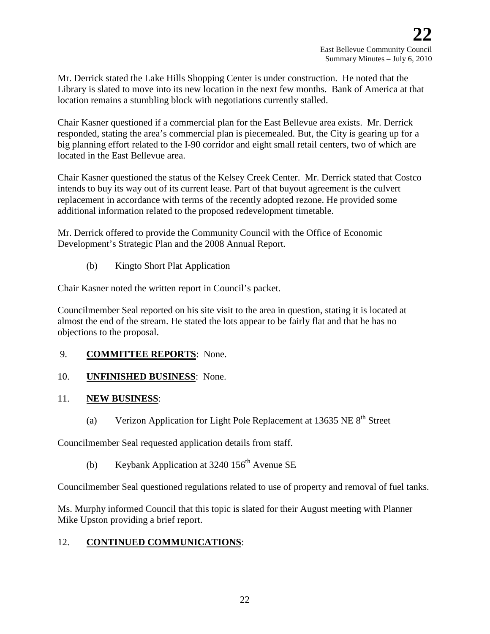Mr. Derrick stated the Lake Hills Shopping Center is under construction. He noted that the Library is slated to move into its new location in the next few months. Bank of America at that location remains a stumbling block with negotiations currently stalled.

Chair Kasner questioned if a commercial plan for the East Bellevue area exists. Mr. Derrick responded, stating the area's commercial plan is piecemealed. But, the City is gearing up for a big planning effort related to the I-90 corridor and eight small retail centers, two of which are located in the East Bellevue area.

Chair Kasner questioned the status of the Kelsey Creek Center. Mr. Derrick stated that Costco intends to buy its way out of its current lease. Part of that buyout agreement is the culvert replacement in accordance with terms of the recently adopted rezone. He provided some additional information related to the proposed redevelopment timetable.

Mr. Derrick offered to provide the Community Council with the Office of Economic Development's Strategic Plan and the 2008 Annual Report.

(b) Kingto Short Plat Application

Chair Kasner noted the written report in Council's packet.

Councilmember Seal reported on his site visit to the area in question, stating it is located at almost the end of the stream. He stated the lots appear to be fairly flat and that he has no objections to the proposal.

- 9. **COMMITTEE REPORTS**: None.
- 10. **UNFINISHED BUSINESS**: None.

## 11. **NEW BUSINESS**:

(a) Verizon Application for Light Pole Replacement at 13635 NE  $8<sup>th</sup>$  Street

Councilmember Seal requested application details from staff.

(b) Keybank Application at  $3240\,156^{\text{th}}$  Avenue SE

Councilmember Seal questioned regulations related to use of property and removal of fuel tanks.

Ms. Murphy informed Council that this topic is slated for their August meeting with Planner Mike Upston providing a brief report.

## 12. **CONTINUED COMMUNICATIONS**: